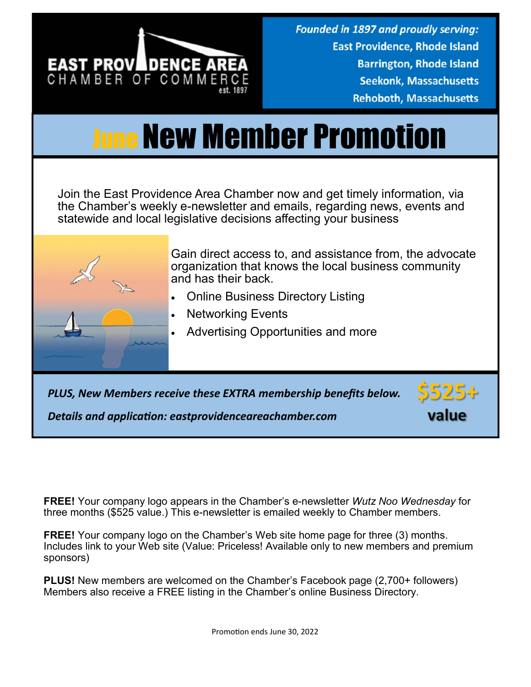

## June New Member Promotion

Join the East Providence Area Chamber now and get timely information, via the Chamber's weekly e-newsletter and emails, regarding news, events and statewide and local legislative decisions affecting your business



Gain direct access to, and assistance from, the advocate organization that knows the local business community and has their back.

- Online Business Directory Listing
- Networking Events
- Advertising Opportunities and more

*PLUS, New Members receive these EXTRA membership benefits below.*



*Details and application: eastprovidenceareachamber.com*

**FREE!** Your company logo appears in the Chamber's e-newsletter *Wutz Noo Wednesday* for three months (\$525 value.) This e-newsletter is emailed weekly to Chamber members.

**FREE!** Your company logo on the Chamber's Web site home page for three (3) months. Includes link to your Web site (Value: Priceless! Available only to new members and premium sponsors)

**PLUS!** New members are welcomed on the Chamber's Facebook page (2,700+ followers) Members also receive a FREE listing in the Chamber's online Business Directory.